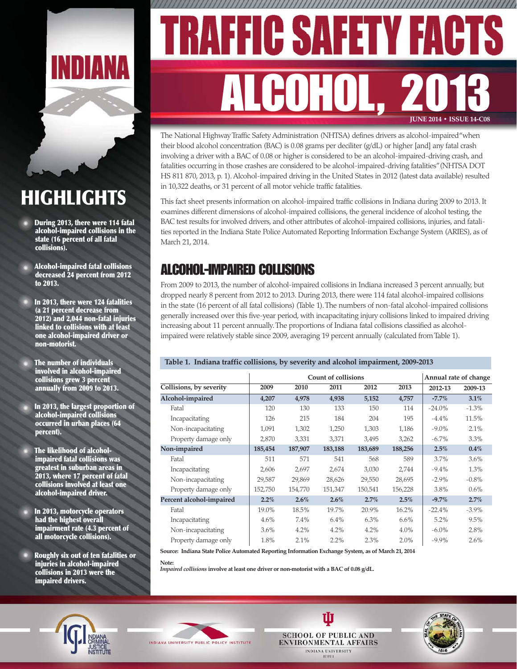

# **HIGHLIGHTS**

- **During 2013, there were 114 fatal alcohol-impaired collisions in the state (16 percent of all fatal collisions).**
- **Alcohol-impaired fatal collisions decreased 24 percent from 2012 to 2013.**
- **In 2013, there were 124 fatalities (a 21 percent decrease from 2012) and 2,044 non-fatal injuries linked to collisions with at least one alcohol-impaired driver or non-motorist.**
- **The number of individuals involved in alcohol-impaired collisions grew 3 percent annually from 2009 to 2013.**
- **In 2013, the largest proportion of alcohol-impaired collisions occurred in urban places (64 percent).**
- **The likelihood of alcoholimpaired fatal collisions was greatest in suburban areas in 2013, where 17 percent of fatal collisions involved at least one alcohol-impaired driver.**
- **In 2013, motorcycle operators had the highest overall impairment rate (4.3 percent of all motorcycle collisions).**
- **Roughly six out of ten fatalities or injuries in alcohol-impaired collisions in 2013 were the impaired drivers.**

# ,,,,,,,,,,, IC SAF ALCOHOL, 2013 **JUNE 2014 • ISSUE 14-C08**

The National Highway Traffic Safety Administration (NHTSA) defines drivers as alcohol-impaired "when their blood alcohol concentration (BAC) is 0.08 grams per deciliter (g/dL) or higher [and] any fatal crash involving a driver with a BAC of 0.08 or higher is considered to be an alcohol-impaired-driving crash, and fatalities occurring in those crashes are considered to be alcohol-impaired-driving fatalities" (NHTSA DOT HS 811 870, 2013, p. 1). Alcohol-impaired driving in the United States in 2012 (latest data available) resulted in 10,322 deaths, or 31 percent of all motor vehicle traffic fatalities.

This fact sheet presents information on alcohol-impaired traffic collisions in Indiana during 2009 to 2013. It examines different dimensions of alcohol-impaired collisions, the general incidence of alcohol testing, the BAC test results for involved drivers, and other attributes of alcohol-impaired collisions, injuries, and fatalities reported in the Indiana State Police Automated Reporting Information Exchange System (ARIES), as of March 21, 2014.

## ALCOHOL-IMPAIRED COLLISIONS

From 2009 to 2013, the number of alcohol-impaired collisions in Indiana increased 3 percent annually, but dropped nearly 8 percent from 2012 to 2013. During 2013, there were 114 fatal alcohol-impaired collisions in the state (16 percent of all fatal collisions) (Table 1). The numbers of non-fatal alcohol-impaired collisions generally increased over this five-year period, with incapacitating injury collisions linked to impaired driving increasing about 11 percent annually. The proportions of Indiana fatal collisions classified as alcoholimpaired were relatively stable since 2009, averaging 19 percent annually (calculated from Table 1).

### **Table 1. Indiana traffic collisions, by severity and alcohol impairment, 2009-2013**

|                          |         |         | <b>Count of collisions</b> |         |         |          | Annual rate of change |
|--------------------------|---------|---------|----------------------------|---------|---------|----------|-----------------------|
| Collisions, by severity  | 2009    | 2010    | 2011                       | 2012    | 2013    | 2012-13  | 2009-13               |
| Alcohol-impaired         | 4,207   | 4,978   | 4,938                      | 5,152   | 4,757   | $-7.7\%$ | 3.1%                  |
| Fatal                    | 120     | 130     | 133                        | 150     | 114     | $-24.0%$ | $-1.3\%$              |
| Incapacitating           | 126     | 215     | 184                        | 204     | 195     | $-4.4%$  | 11.5%                 |
| Non-incapacitating       | 1,091   | 1,302   | 1,250                      | 1,303   | 1,186   | $-9.0\%$ | 2.1%                  |
| Property damage only     | 2,870   | 3,331   | 3,371                      | 3,495   | 3,262   | $-6.7\%$ | $3.3\%$               |
| Non-impaired             | 185,454 | 187,907 | 183,188                    | 183,689 | 188,256 | 2.5%     | $0.4\%$               |
| Fatal                    | 511     | 571     | 541                        | 568     | 589     | 3.7%     | $3.6\%$               |
| Incapacitating           | 2,606   | 2,697   | 2,674                      | 3,030   | 2,744   | $-9.4\%$ | 1.3%                  |
| Non-incapacitating       | 29,587  | 29,869  | 28,626                     | 29,550  | 28,695  | $-2.9\%$ | $-0.8\%$              |
| Property damage only     | 152,750 | 154,770 | 151,347                    | 150,541 | 156,228 | 3.8%     | $0.6\%$               |
| Percent alcohol-impaired | $2.2\%$ | $2.6\%$ | $2.6\%$                    | 2.7%    | 2.5%    | $-9.7\%$ | 2.7%                  |
| Fatal                    | 19.0%   | 18.5%   | 19.7%                      | 20.9%   | 16.2%   | $-22.4%$ | $-3.9\%$              |
| Incapacitating           | 4.6%    | 7.4%    | 6.4%                       | 6.3%    | $6.6\%$ | 5.2%     | $9.5\%$               |
| Non-incapacitating       | 3.6%    | 4.2%    | 4.2%                       | 4.2%    | $4.0\%$ | $-6.0\%$ | 2.8%                  |
| Property damage only     | 1.8%    | 2.1%    | 2.2%                       | 2.3%    | 2.0%    | $-9.9\%$ | 2.6%                  |

W

**IUPUI** 

**Source: Indiana State Police Automated Reporting Information Exchange System, as of March 21, 2014**

**Note:**

*Impaired collisions* **involve at least one driver or non-motorist with a BAC of 0.08 g/dL.**





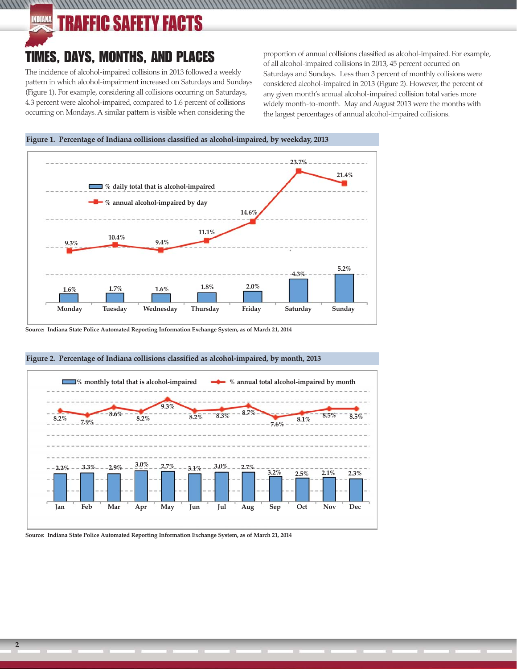### INDIANA AFFIC SAFETY FACTS

 $111111$ 

# TIMES, DAYS, MONTHS, AND PLACES

The incidence of alcohol-impaired collisions in 2013 followed a weekly pattern in which alcohol-impairment increased on Saturdays and Sundays (Figure 1). For example, considering all collisions occurring on Saturdays, 4.3 percent were alcohol-impaired, compared to 1.6 percent of collisions occurring on Mondays. A similar pattern is visible when considering the

proportion of annual collisions classified as alcohol-impaired. For example, of all alcohol-impaired collisions in 2013, 45 percent occurred on Saturdays and Sundays. Less than 3 percent of monthly collisions were considered alcohol-impaired in 2013 (Figure 2). However, the percent of any given month's annual alcohol-impaired collision total varies more widely month-to-month. May and August 2013 were the months with the largest percentages of annual alcohol-impaired collisions.

**Figure 1. Percentage of Indiana collisions classified as alcohol-impaired, by weekday, 2013**



**Source: Indiana State Police Automated Reporting Information Exchange System, as of March 21, 2014**



### **Figure 2. Percentage of Indiana collisions classified as alcohol-impaired, by month, 2013**

**Source: Indiana State Police Automated Reporting Information Exchange System, as of March 21, 2014**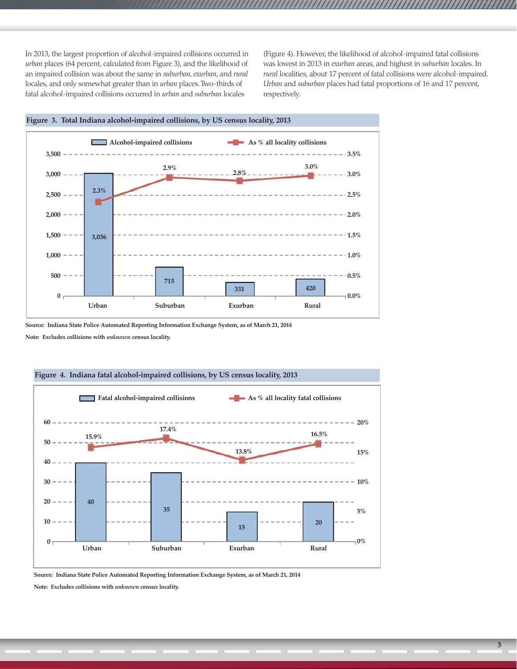In 2013, the largest proportion of alcohol-impaired collisions occurred in *urban* places (64 percent, calculated from Figure 3), and the likelihood of an impaired collision was about the same in *suburban, exurban*, and *rural* locales, and only somewhat greater than in *urban* places. Two-thirds of fatal alcohol-impaired collisions occurred in *urban* and *suburban* locales

(Figure 4). However, the likelihood of alcohol-impaired fatal collisions was lowest in 2013 in *exurban* areas, and highest in *suburban* locales. In *rural* localities, about 17 percent of fatal collisions were alcohol-impaired. *Urban* and *suburban* places had fatal proportions of 16 and 17 percent, respectively.



**Source: Indiana State Police Automated Reporting Information Exchange System, as of March 21, 2014**

**Note: Excludes collisions with** *unknown* **census locality.**



**Source: Indiana State Police Automated Reporting Information Exchange System, as of March 21, 2014 Note: Excludes collisions with** *unknown* **census locality.**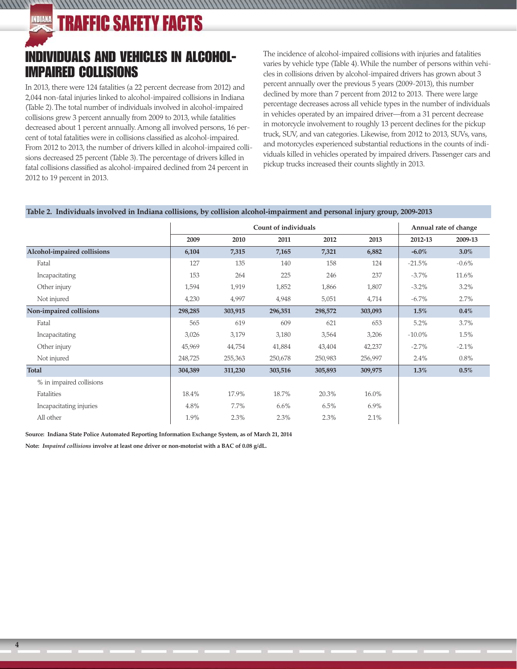# **TRAFFIC SAFETY FACTS**

 $111111$ 

## INDIVIDUALS AND VEHICLES IN ALCOHOL-IMPAIRED COLLISIONS

In 2013, there were 124 fatalities (a 22 percent decrease from 2012) and 2,044 non-fatal injuries linked to alcohol-impaired collisions in Indiana (Table 2). The total number of individuals involved in alcohol-impaired collisions grew 3 percent annually from 2009 to 2013, while fatalities decreased about 1 percent annually. Among all involved persons, 16 percent of total fatalities were in collisions classified as alcohol-impaired. From 2012 to 2013, the number of drivers killed in alcohol-impaired collisions decreased 25 percent (Table 3). The percentage of drivers killed in fatal collisions classified as alcohol-impaired declined from 24 percent in 2012 to 19 percent in 2013.

The incidence of alcohol-impaired collisions with injuries and fatalities varies by vehicle type (Table 4). While the number of persons within vehicles in collisions driven by alcohol-impaired drivers has grown about 3 percent annually over the previous 5 years (2009-2013), this number declined by more than 7 percent from 2012 to 2013. There were large percentage decreases across all vehicle types in the number of individuals in vehicles operated by an impaired driver—from a 31 percent decrease in motorcycle involvement to roughly 13 percent declines for the pickup truck, SUV, and van categories. Likewise, from 2012 to 2013, SUVs, vans, and motorcycles experienced substantial reductions in the counts of individuals killed in vehicles operated by impaired drivers. Passenger cars and pickup trucks increased their counts slightly in 2013.

### **Table 2. Individuals involved in Indiana collisions, by collision alcohol-impairment and personal injury group, 2009-2013**

,,,,,,,,,,,,,,,,,,,,,,,,,,,,,,,,,,,,

|                             | Count of individuals |         |         | Annual rate of change |         |           |          |
|-----------------------------|----------------------|---------|---------|-----------------------|---------|-----------|----------|
|                             | 2009                 | 2010    | 2011    | 2012                  | 2013    | 2012-13   | 2009-13  |
| Alcohol-impaired collisions | 6,104                | 7,315   | 7,165   | 7,321                 | 6,882   | $-6.0\%$  | 3.0%     |
| Fatal                       | 127                  | 135     | 140     | 158                   | 124     | $-21.5%$  | $-0.6\%$ |
| Incapacitating              | 153                  | 264     | 225     | 246                   | 237     | $-3.7\%$  | 11.6%    |
| Other injury                | 1,594                | 1,919   | 1,852   | 1,866                 | 1,807   | $-3.2\%$  | 3.2%     |
| Not injured                 | 4,230                | 4,997   | 4,948   | 5,051                 | 4,714   | $-6.7\%$  | 2.7%     |
| Non-impaired collisions     | 298,285              | 303,915 | 296,351 | 298,572               | 303,093 | $1.5\%$   | $0.4\%$  |
| Fatal                       | 565                  | 619     | 609     | 621                   | 653     | 5.2%      | 3.7%     |
| Incapacitating              | 3,026                | 3,179   | 3,180   | 3,564                 | 3,206   | $-10.0\%$ | 1.5%     |
| Other injury                | 45,969               | 44,754  | 41,884  | 43,404                | 42,237  | $-2.7%$   | $-2.1\%$ |
| Not injured                 | 248,725              | 255,363 | 250,678 | 250,983               | 256,997 | 2.4%      | 0.8%     |
| Total                       | 304,389              | 311,230 | 303,516 | 305,893               | 309,975 | $1.3\%$   | 0.5%     |
| % in impaired collisions    |                      |         |         |                       |         |           |          |
| Fatalities                  | 18.4%                | 17.9%   | 18.7%   | 20.3%                 | 16.0%   |           |          |
| Incapacitating injuries     | 4.8%                 | 7.7%    | $6.6\%$ | 6.5%                  | $6.9\%$ |           |          |
| All other                   | 1.9%                 | 2.3%    | 2.3%    | 2.3%                  | 2.1%    |           |          |

**Source: Indiana State Police Automated Reporting Information Exchange System, as of March 21, 2014**

**Note:** *Impaired collisions* **involve at least one driver or non-motorist with a BAC of 0.08 g/dL.**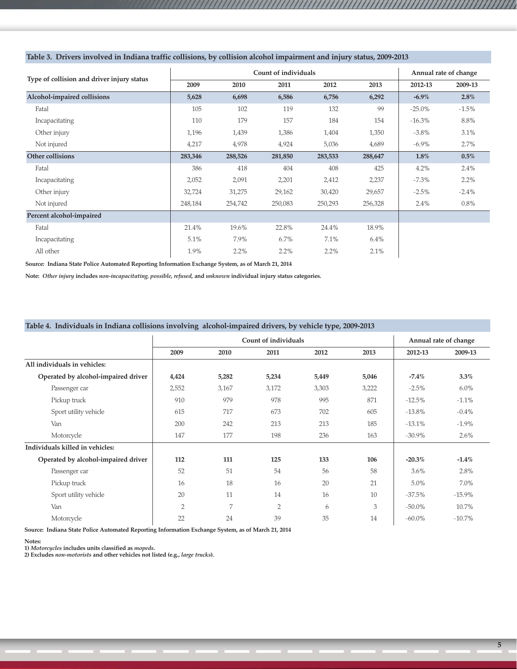|                                            |         |         | Count of individuals |         |         | Annual rate of change |          |
|--------------------------------------------|---------|---------|----------------------|---------|---------|-----------------------|----------|
| Type of collision and driver injury status | 2009    | 2010    | 2011                 | 2012    | 2013    | 2012-13               | 2009-13  |
| Alcohol-impaired collisions                | 5,628   | 6,698   | 6,586                | 6,756   | 6,292   | $-6.9\%$              | $2.8\%$  |
| Fatal                                      | 105     | 102     | 119                  | 132     | 99      | $-25.0\%$             | $-1.5%$  |
| Incapacitating                             | 110     | 179     | 157                  | 184     | 154     | $-16.3\%$             | 8.8%     |
| Other injury                               | 1,196   | 1,439   | 1,386                | 1,404   | 1,350   | $-3.8\%$              | 3.1%     |
| Not injured                                | 4,217   | 4,978   | 4,924                | 5,036   | 4,689   | $-6.9\%$              | 2.7%     |
| Other collisions                           | 283,346 | 288,526 | 281,850              | 283,533 | 288,647 | 1.8%                  | $0.5\%$  |
| Fatal                                      | 386     | 418     | 404                  | 408     | 425     | 4.2%                  | 2.4%     |
| Incapacitating                             | 2,052   | 2,091   | 2,201                | 2,412   | 2,237   | $-7.3\%$              | 2.2%     |
| Other injury                               | 32,724  | 31,275  | 29,162               | 30,420  | 29,657  | $-2.5%$               | $-2.4\%$ |
| Not injured                                | 248,184 | 254,742 | 250,083              | 250,293 | 256,328 | 2.4%                  | 0.8%     |
| Percent alcohol-impaired                   |         |         |                      |         |         |                       |          |
| Fatal                                      | 21.4%   | 19.6%   | 22.8%                | 24.4%   | 18.9%   |                       |          |
| Incapacitating                             | 5.1%    | 7.9%    | 6.7%                 | 7.1%    | 6.4%    |                       |          |
| All other                                  | 1.9%    | 2.2%    | 2.2%                 | 2.2%    | 2.1%    |                       |          |

1999 - 1999 - 1999 - 1999 - 1999 - 1999 - 1999 - 1999 - 1999 - 1999 - 1999 - 1999 - 1999 - 1999 - 1999 - 1999

### **Table 3. Drivers involved in Indiana traffic collisions, by collision alcohol impairment and injury status, 2009-2013**

**Source: Indiana State Police Automated Reporting Information Exchange System, as of March 21, 2014**

**Note:** *Other injury* **includes** *non-incapacitating, possible, refused,* **and** *unknown* **individual injury status categories.**

### **Table 4. Individuals in Indiana collisions involving alcohol-impaired drivers, by vehicle type, 2009-2013**

|                                     |                |       | Count of individuals |       |       |           | Annual rate of change |
|-------------------------------------|----------------|-------|----------------------|-------|-------|-----------|-----------------------|
|                                     | 2009           | 2010  | 2011                 | 2012  | 2013  | 2012-13   | 2009-13               |
| All individuals in vehicles:        |                |       |                      |       |       |           |                       |
| Operated by alcohol-impaired driver | 4,424          | 5,282 | 5,234                | 5,449 | 5,046 | $-7.4%$   | 3.3%                  |
| Passenger car                       | 2,552          | 3,167 | 3,172                | 3,303 | 3,222 | $-2.5\%$  | $6.0\%$               |
| Pickup truck                        | 910            | 979   | 978                  | 995   | 871   | $-12.5%$  | $-1.1\%$              |
| Sport utility vehicle               | 615            | 717   | 673                  | 702   | 605   | $-13.8%$  | $-0.4\%$              |
| Van                                 | 200            | 242   | 213                  | 213   | 185   | $-13.1%$  | $-1.9\%$              |
| Motorcycle                          | 147            | 177   | 198                  | 236   | 163   | $-30.9\%$ | $2.6\%$               |
| Individuals killed in vehicles:     |                |       |                      |       |       |           |                       |
| Operated by alcohol-impaired driver | 112            | 111   | 125                  | 133   | 106   | $-20.3%$  | $-1.4%$               |
| Passenger car                       | 52             | 51    | 54                   | 56    | 58    | 3.6%      | 2.8%                  |
| Pickup truck                        | 16             | 18    | 16                   | 20    | 21    | 5.0%      | $7.0\%$               |
| Sport utility vehicle               | 20             | 11    | 14                   | 16    | 10    | $-37.5%$  | $-15.9\%$             |
| Van                                 | $\overline{2}$ | 7     | $\overline{2}$       | 6     | 3     | $-50.0\%$ | 10.7%                 |
| Motorcycle                          | 22             | 24    | 39                   | 35    | 14    | $-60.0\%$ | $-10.7\%$             |

**Source: Indiana State Police Automated Reporting Information Exchange System, as of March 21, 2014**

#### **Notes:**

**1)** *Motorcycles* **includes units classified as** *mopeds***.**

**2) Excludes** *non-motorists* **and other vehicles not listed (e.g.,** *large trucks***).**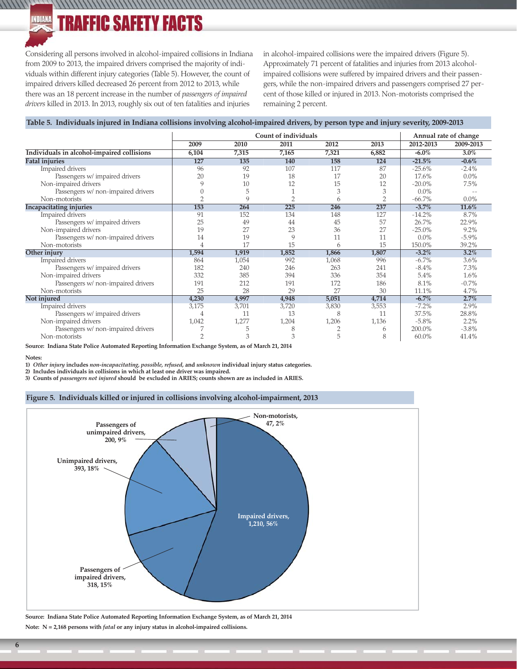### INDIANA **TRAFFIC SAFETY FACTS**

Considering all persons involved in alcohol-impaired collisions in Indiana from 2009 to 2013, the impaired drivers comprised the majority of individuals within different injury categories (Table 5). However, the count of impaired drivers killed decreased 26 percent from 2012 to 2013, while there was an 18 percent increase in the number of *passengers of impaired drivers* killed in 2013. In 2013, roughly six out of ten fatalities and injuries

in alcohol-impaired collisions were the impaired drivers (Figure 5). Approximately 71 percent of fatalities and injuries from 2013 alcoholimpaired collisions were suffered by impaired drivers and their passengers, while the non-impaired drivers and passengers comprised 27 percent of those killed or injured in 2013. Non-motorists comprised the remaining 2 percent.

### **Table 5. Individuals injured in Indiana collisions involving alcohol-impaired drivers, by person type and injury severity, 2009-2013**

|                                            |       |       | Count of individuals |       |       |           | Annual rate of change |
|--------------------------------------------|-------|-------|----------------------|-------|-------|-----------|-----------------------|
|                                            | 2009  | 2010  | 2011                 | 2012  | 2013  | 2012-2013 | 2009-2013             |
| Individuals in alcohol-impaired collisions | 6,104 | 7,315 | 7,165                | 7,321 | 6,882 | $-6.0\%$  | 3.0%                  |
| <b>Fatal injuries</b>                      | 127   | 135   | 140                  | 158   | 124   | $-21.5%$  | $-0.6%$               |
| Impaired drivers                           | 96    | 92    | 107                  | 117   | 87    | $-25.6%$  | $-2.4\%$              |
| Passengers w/ impaired drivers             | 20    | 19    | 18                   | 17    | 20    | 17.6%     | $0.0\%$               |
| Non-impaired drivers                       | 9     | 10    | 12                   | 15    | 12    | $-20.0\%$ | 7.5%                  |
| Passengers w/ non-impaired drivers         |       | 5     |                      | 3     | 3     | $0.0\%$   |                       |
| Non-motorists                              |       | Q     |                      | 6     |       | $-66.7%$  | $0.0\%$               |
| <b>Incapacitating injuries</b>             | 153   | 264   | 225                  | 246   | 237   | $-3.7%$   | 11.6%                 |
| Impaired drivers                           | 91    | 152   | 134                  | 148   | 127   | $-14.2%$  | 8.7%                  |
| Passengers w/ impaired drivers             | 25    | 49    | 44                   | 45    | 57    | 26.7%     | 22.9%                 |
| Non-impaired drivers                       | 19    | 27    | 23                   | 36    | 27    | $-25.0\%$ | 9.2%                  |
| Passengers w/ non-impaired drivers         | 14    | 19    | 9                    | 11    | 11    | 0.0%      | $-5.9\%$              |
| Non-motorists                              | 4     | 17    | 15                   | 6     | 15    | 150.0%    | 39.2%                 |
| Other injury                               | 1,594 | 1,919 | 1,852                | 1,866 | 1,807 | $-3.2\%$  | 3.2%                  |
| Impaired drivers                           | 864   | 1,054 | 992                  | 1,068 | 996   | $-6.7\%$  | 3.6%                  |
| Passengers w/ impaired drivers             | 182   | 240   | 246                  | 263   | 241   | $-8.4\%$  | 7.3%                  |
| Non-impaired drivers                       | 332   | 385   | 394                  | 336   | 354   | 5.4%      | 1.6%                  |
| Passengers w/ non-impaired drivers         | 191   | 212   | 191                  | 172   | 186   | 8.1%      | $-0.7%$               |
| Non-motorists                              | 25    | 28    | 29                   | 27    | 30    | 11.1%     | 4.7%                  |
| Not injured                                | 4,230 | 4,997 | 4,948                | 5,051 | 4,714 | $-6.7%$   | 2.7%                  |
| Impaired drivers                           | 3,175 | 3,701 | 3,720                | 3,830 | 3,553 | $-7.2\%$  | 2.9%                  |
| Passengers w/ impaired drivers             | 4     | 11    | 13                   | 8     | 11    | 37.5%     | 28.8%                 |
| Non-impaired drivers                       | 1,042 | 1,277 | 1,204                | 1,206 | 1,136 | $-5.8\%$  | 2.2%                  |
| Passengers w/ non-impaired drivers         |       | 5     | 8                    |       | 6     | 200.0%    | $-3.8\%$              |
| Non-motorists                              | C     | 3     | 3                    | 5     | 8     | 60.0%     | 41.4%                 |

**Source: Indiana State Police Automated Reporting Information Exchange System, as of March 21, 2014**

#### **Notes:**

 $111111$ 

**1)** *Other injury* **includes** *non-incapacitating, possible, refused,* **and** *unknown* **individual injury status categories.**

**2) Includes individuals in collisions in which at least one driver was impaired.**

**3) Counts of** *passengers not injured* **should be excluded in ARIES; counts shown are as included in ARIES.**

### **Figure 5. Individuals killed or injured in collisions involving alcohol-impairment, 2013**



**Source: Indiana State Police Automated Reporting Information Exchange System, as of March 21, 2014 Note: N = 2,168 persons with** *fatal* **or any injury status in alcohol-impaired collisions.**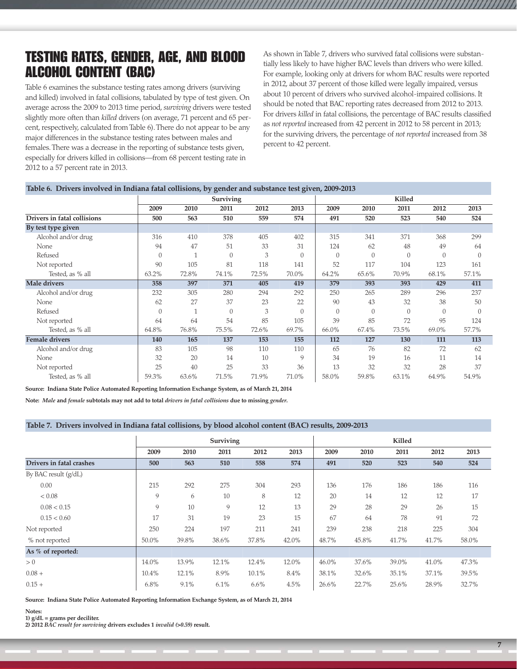### TESTING RATES, GENDER, AGE, AND BLOOD ALCOHOL CONTENT (BAC)

Table 6 examines the substance testing rates among drivers (surviving and killed) involved in fatal collisions, tabulated by type of test given. On average across the 2009 to 2013 time period, *surviving* drivers were tested slightly more often than *killed* drivers (on average, 71 percent and 65 percent, respectively, calculated from Table 6). There do not appear to be any major differences in the substance testing rates between males and females. There was a decrease in the reporting of substance tests given, especially for drivers killed in collisions—from 68 percent testing rate in 2012 to a 57 percent rate in 2013.

As shown in Table 7, drivers who survived fatal collisions were substantially less likely to have higher BAC levels than drivers who were killed. For example, looking only at drivers for whom BAC results were reported in 2012, about 37 percent of those killed were legally impaired, versus about 10 percent of drivers who survived alcohol-impaired collisions. It should be noted that BAC reporting rates decreased from 2012 to 2013. For drivers *killed* in fatal collisions, the percentage of BAC results classified as *not reported* increased from 42 percent in 2012 to 58 percent in 2013; for the surviving drivers, the percentage of *not reported* increased from 38 percent to 42 percent.

### **Table 6. Drivers involved in Indiana fatal collisions, by gender and substance test given, 2009-2013**

|                             |          |       | Surviving |       |               | Killed         |                |          |                |          |
|-----------------------------|----------|-------|-----------|-------|---------------|----------------|----------------|----------|----------------|----------|
|                             | 2009     | 2010  | 2011      | 2012  | 2013          | 2009           | 2010           | 2011     | 2012           | 2013     |
| Drivers in fatal collisions | 500      | 563   | 510       | 559   | 574           | 491            | 520            | 523      | 540            | 524      |
| By test type given          |          |       |           |       |               |                |                |          |                |          |
| Alcohol and/or drug         | 316      | 410   | 378       | 405   | 402           | 315            | 341            | 371      | 368            | 299      |
| None                        | 94       | 47    | 51        | 33    | 31            | 124            | 62             | 48       | 49             | 64       |
| Refused                     | $\theta$ |       | $\theta$  | 3     | $\theta$      | $\overline{0}$ | $\overline{0}$ | $\Omega$ | $\overline{0}$ | $\theta$ |
| Not reported                | 90       | 105   | 81        | 118   | 141           | 52             | 117            | 104      | 123            | 161      |
| Tested, as % all            | 63.2%    | 72.8% | 74.1%     | 72.5% | 70.0%         | 64.2%          | 65.6%          | 70.9%    | 68.1%          | 57.1%    |
| <b>Male drivers</b>         | 358      | 397   | 371       | 405   | 419           | 379            | 393            | 393      | 429            | 411      |
| Alcohol and/or drug         | 232      | 305   | 280       | 294   | 292           | 250            | 265            | 289      | 296            | 237      |
| None                        | 62       | 27    | 37        | 23    | 22            | 90             | 43             | 32       | 38             | 50       |
| Refused                     | $\Omega$ | 1     | $\Omega$  | 3     | $\Omega$      | $\Omega$       | $\Omega$       | $\Omega$ | $\Omega$       | $\Omega$ |
| Not reported                | 64       | 64    | 54        | 85    | 105           | 39             | 85             | 72       | 95             | 124      |
| Tested, as % all            | 64.8%    | 76.8% | 75.5%     | 72.6% | 69.7%         | 66.0%          | 67.4%          | 73.5%    | 69.0%          | 57.7%    |
| <b>Female drivers</b>       | 140      | 165   | 137       | 153   | 155           | 112            | 127            | 130      | 111            | 113      |
| Alcohol and/or drug         | 83       | 105   | 98        | 110   | 110           | 65             | 76             | 82       | 72             | 62       |
| None                        | 32       | 20    | 14        | 10    | $\mathcal{Q}$ | 34             | 19             | 16       | 11             | 14       |
| Not reported                | 25       | 40    | 25        | 33    | 36            | 13             | 32             | 32       | 28             | 37       |
| Tested, as % all            | 59.3%    | 63.6% | 71.5%     | 71.9% | 71.0%         | 58.0%          | 59.8%          | 63.1%    | 64.9%          | 54.9%    |

**Source: Indiana State Police Automated Reporting Information Exchange System, as of March 21, 2014**

**Note:** *Male* **and** *female* **subtotals may not add to total** *drivers in fatal collisions* **due to missing** *gender***.**

#### **Table 7. Drivers involved in Indiana fatal collisions, by blood alcohol content (BAC) results, 2009-2013**

|                          |       |       | Surviving |       |       |       |       | Killed |       |       |
|--------------------------|-------|-------|-----------|-------|-------|-------|-------|--------|-------|-------|
|                          | 2009  | 2010  | 2011      | 2012  | 2013  | 2009  | 2010  | 2011   | 2012  | 2013  |
| Drivers in fatal crashes | 500   | 563   | 510       | 558   | 574   | 491   | 520   | 523    | 540   | 524   |
| By BAC result (g/dL)     |       |       |           |       |       |       |       |        |       |       |
| 0.00                     | 215   | 292   | 275       | 304   | 293   | 136   | 176   | 186    | 186   | 116   |
| < 0.08                   | 9     | 6     | 10        | 8     | 12    | 20    | 14    | 12     | 12    | 17    |
| 0.08 < 0.15              | 9     | 10    | 9         | 12    | 13    | 29    | 28    | 29     | 26    | 15    |
| 0.15 < 0.60              | 17    | 31    | 19        | 23    | 15    | 67    | 64    | 78     | 91    | 72    |
| Not reported             | 250   | 224   | 197       | 211   | 241   | 239   | 238   | 218    | 225   | 304   |
| % not reported           | 50.0% | 39.8% | 38.6%     | 37.8% | 42.0% | 48.7% | 45.8% | 41.7%  | 41.7% | 58.0% |
| As % of reported:        |       |       |           |       |       |       |       |        |       |       |
| > 0                      | 14.0% | 13.9% | 12.1%     | 12.4% | 12.0% | 46.0% | 37.6% | 39.0%  | 41.0% | 47.3% |
| $0.08 +$                 | 10.4% | 12.1% | 8.9%      | 10.1% | 8.4%  | 38.1% | 32.6% | 35.1%  | 37.1% | 39.5% |
| $0.15 +$                 | 6.8%  | 9.1%  | 6.1%      | 6.6%  | 4.5%  | 26.6% | 22.7% | 25.6%  | 28.9% | 32.7% |

**Source: Indiana State Police Automated Reporting Information Exchange System, as of March 21, 2014**

**1) g/dL = grams per deciliter.**

**2) 2012** *BAC result for surviving* **drivers excludes 1** *invalid (>0.59)* **result.**

**Notes:**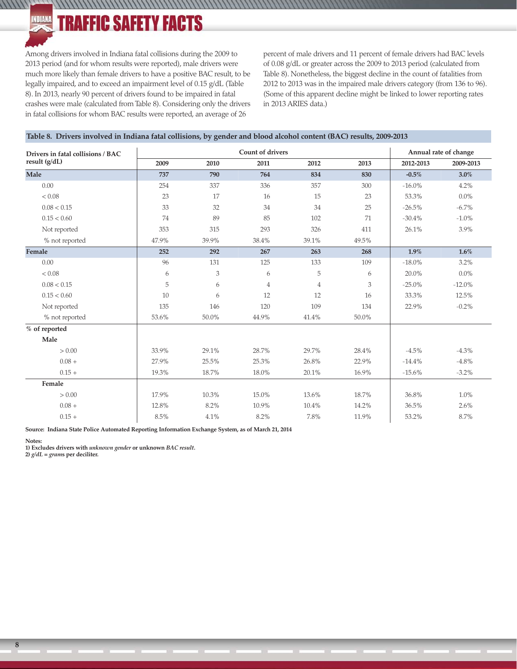**TRAFFIC SAFETY FACTS** 

Among drivers involved in Indiana fatal collisions during the 2009 to 2013 period (and for whom results were reported), male drivers were much more likely than female drivers to have a positive BAC result, to be legally impaired, and to exceed an impairment level of 0.15 g/dL (Table 8). In 2013, nearly 90 percent of drivers found to be impaired in fatal crashes were male (calculated from Table 8). Considering only the drivers in fatal collisions for whom BAC results were reported, an average of 26

percent of male drivers and 11 percent of female drivers had BAC levels of 0.08 g/dL or greater across the 2009 to 2013 period (calculated from Table 8). Nonetheless, the biggest decline in the count of fatalities from 2012 to 2013 was in the impaired male drivers category (from 136 to 96). (Some of this apparent decline might be linked to lower reporting rates in 2013 ARIES data.)

### **Table 8. Drivers involved in Indiana fatal collisions, by gender and blood alcohol content (BAC) results, 2009-2013**

,,,,,,,,,,,,,,,,,,,,,,,,,,,,,,,

| Drivers in fatal collisions / BAC |       |       | Count of drivers |       |       |           | Annual rate of change |
|-----------------------------------|-------|-------|------------------|-------|-------|-----------|-----------------------|
| result (g/dL)                     | 2009  | 2010  | 2011             | 2012  | 2013  | 2012-2013 | 2009-2013             |
| Male                              | 737   | 790   | 764              | 834   | 830   | $-0.5%$   | 3.0%                  |
| 0.00                              | 254   | 337   | 336              | 357   | 300   | $-16.0\%$ | 4.2%                  |
| < 0.08                            | 23    | 17    | 16               | 15    | 23    | 53.3%     | $0.0\%$               |
| 0.08 < 0.15                       | 33    | 32    | 34               | 34    | 25    | $-26.5%$  | $-6.7\%$              |
| 0.15 < 0.60                       | 74    | 89    | 85               | 102   | 71    | $-30.4%$  | $-1.0\%$              |
| Not reported                      | 353   | 315   | 293              | 326   | 411   | 26.1%     | 3.9%                  |
| % not reported                    | 47.9% | 39.9% | 38.4%            | 39.1% | 49.5% |           |                       |
| Female                            | 252   | 292   | 267              | 263   | 268   | 1.9%      | $1.6\%$               |
| 0.00                              | 96    | 131   | 125              | 133   | 109   | $-18.0\%$ | 3.2%                  |
| < 0.08                            | 6     | 3     | 6                | 5     | 6     | 20.0%     | $0.0\%$               |
| 0.08 < 0.15                       | 5     | 6     | $\overline{4}$   | 4     | 3     | $-25.0%$  | $-12.0\%$             |
| 0.15 < 0.60                       | 10    | 6     | 12               | 12    | 16    | 33.3%     | 12.5%                 |
| Not reported                      | 135   | 146   | 120              | 109   | 134   | 22.9%     | $-0.2\%$              |
| % not reported                    | 53.6% | 50.0% | 44.9%            | 41.4% | 50.0% |           |                       |
| % of reported                     |       |       |                  |       |       |           |                       |
| Male                              |       |       |                  |       |       |           |                       |
| > 0.00                            | 33.9% | 29.1% | 28.7%            | 29.7% | 28.4% | $-4.5\%$  | $-4.3\%$              |
| $0.08 +$                          | 27.9% | 25.5% | 25.3%            | 26.8% | 22.9% | $-14.4%$  | $-4.8\%$              |
| $0.15 +$                          | 19.3% | 18.7% | 18.0%            | 20.1% | 16.9% | $-15.6%$  | $-3.2\%$              |
| Female                            |       |       |                  |       |       |           |                       |
| > 0.00                            | 17.9% | 10.3% | 15.0%            | 13.6% | 18.7% | 36.8%     | 1.0%                  |
| $0.08 +$                          | 12.8% | 8.2%  | 10.9%            | 10.4% | 14.2% | 36.5%     | 2.6%                  |
| $0.15 +$                          | 8.5%  | 4.1%  | 8.2%             | 7.8%  | 11.9% | 53.2%     | 8.7%                  |

**Source: Indiana State Police Automated Reporting Information Exchange System, as of March 21, 2014**

#### **Notes:**

 $111111$ 

INDIANA

**1) Excludes drivers with** *unknown gender* **or unknown** *BAC result.*

**2)** *g/dL = gram***s per deciliter.**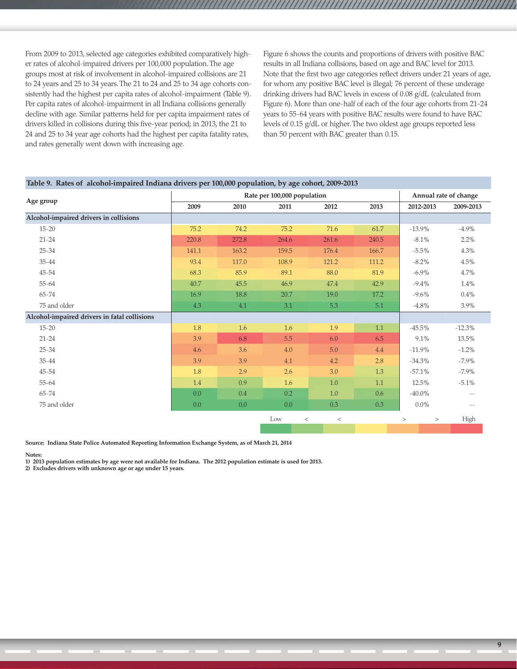From 2009 to 2013, selected age categories exhibited comparatively higher rates of alcohol-impaired drivers per 100,000 population. The age groups most at risk of involvement in alcohol-impaired collisions are 21 to 24 years and 25 to 34 years. The 21 to 24 and 25 to 34 age cohorts consistently had the highest per capita rates of alcohol-impairment (Table 9). Per capita rates of alcohol-impairment in all Indiana collisions generally decline with age. Similar patterns held for per capita impairment rates of drivers killed in collisions during this five-year period; in 2013, the 21 to 24 and 25 to 34 year age cohorts had the highest per capita fatality rates, and rates generally went down with increasing age.

Figure 6 shows the counts and proportions of drivers with positive BAC results in all Indiana collisions, based on age and BAC level for 2013. Note that the first two age categories reflect drivers under 21 years of age, for whom any positive BAC level is illegal; 76 percent of these underage drinking drivers had BAC levels in excess of 0.08 g/dL (calculated from Figure 6). More than one-half of each of the four age cohorts from 21-24 years to 55-64 years with positive BAC results were found to have BAC levels of 0.15 g/dL or higher. The two oldest age groups reported less than 50 percent with BAC greater than 0.15.

|                                              |         |       | Rate per 100,000 population |       |         |       |          |           | Annual rate of change    |
|----------------------------------------------|---------|-------|-----------------------------|-------|---------|-------|----------|-----------|--------------------------|
| Age group                                    | 2009    | 2010  | 2011                        |       | 2012    | 2013  |          | 2012-2013 | 2009-2013                |
| Alcohol-impaired drivers in collisions       |         |       |                             |       |         |       |          |           |                          |
| $15 - 20$                                    | 75.2    | 74.2  | 75.2                        |       | 71.6    | 61.7  |          | $-13.9%$  | $-4.9\%$                 |
| $21 - 24$                                    | 220.8   | 272.8 | 264.6                       |       | 261.6   | 240.5 |          | $-8.1\%$  | 2.2%                     |
| $25 - 34$                                    | 141.1   | 163.2 | 159.5                       |       | 176.4   | 166.7 |          | $-5.5\%$  | 4.3%                     |
| $35 - 44$                                    | 93.4    | 117.0 | 108.9                       |       | 121.2   | 111.2 |          | $-8.2\%$  | 4.5%                     |
| $45 - 54$                                    | 68.3    | 85.9  | 89.1                        |       | 88.0    | 81.9  |          | $-6.9\%$  | 4.7%                     |
| 55-64                                        | 40.7    | 45.5  | 46.9                        |       | 47.4    | 42.9  |          | $-9.4%$   | 1.4%                     |
| 65-74                                        | 16.9    | 18.8  | 20.7                        |       | 19.0    | 17.2  |          | $-9.6\%$  | $0.4\%$                  |
| 75 and older                                 | 4.3     | 4.1   | 3.1                         |       | 5.3     | 5.1   |          | $-4.8\%$  | 3.9%                     |
| Alcohol-impaired drivers in fatal collisions |         |       |                             |       |         |       |          |           |                          |
| $15 - 20$                                    | 1.8     | 1.6   | 1.6                         |       | 1.9     | 1.1   |          | $-45.5%$  | $-12.3%$                 |
| $21 - 24$                                    | 3.9     | 6.8   | 5.5                         |       | 6.0     | 6.5   |          | 9.1%      | 13.5%                    |
| $25 - 34$                                    | 4.6     | 3.6   | 4.0                         |       | 5.0     | 4.4   |          | $-11.9%$  | $-1.2\%$                 |
| $35 - 44$                                    | 3.9     | 3.9   | 4.1                         |       | 4.2     | 2.8   |          | $-34.3%$  | $-7.9\%$                 |
| $45 - 54$                                    | 1.8     | 2.9   | 2.6                         |       | 3.0     | 1.3   |          | $-57.1%$  | $-7.9\%$                 |
| 55-64                                        | 1.4     | 0.9   | 1.6                         |       | $1.0\,$ | 1.1   |          | 12.5%     | $-5.1\%$                 |
| $65 - 74$                                    | 0.0     | 0.4   | 0.2                         |       | 1.0     | 0.6   |          | $-40.0\%$ |                          |
| 75 and older                                 | $0.0\,$ | 0.0   | 0.0                         |       | 0.3     | 0.3   |          | $0.0\%$   | $\overline{\phantom{m}}$ |
|                                              |         |       | Low                         | $\,<$ | $\,<$   |       | $\rm{>}$ | $\, >$    | High                     |

**Source: Indiana State Police Automated Reporting Information Exchange System, as of March 21, 2014**

**Notes:**

**1) 2013 population estimates by age were not available for Indiana. The 2012 population estimate is used for 2013.**

**2) Excludes drivers with unknown age or age under 15 years.**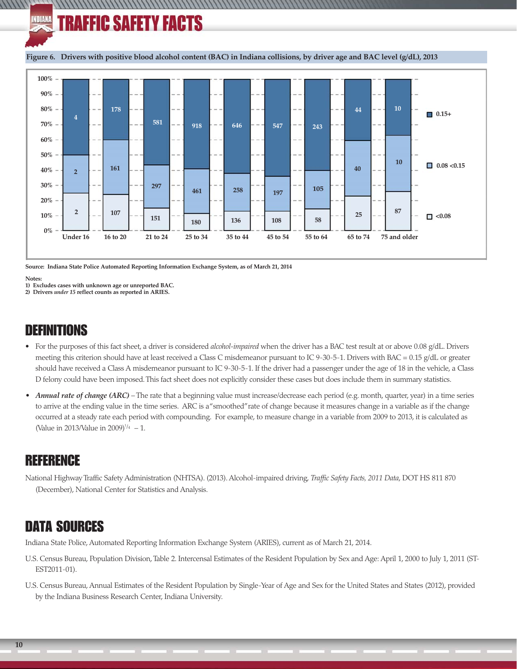### INDIANA **TRAFFIC SAFETY FACTS**

**Figure 6. Drivers with positive blood alcohol content (BAC) in Indiana collisions, by driver age and BAC level (g/dL), 2013**

//////////////////



**Source: Indiana State Police Automated Reporting Information Exchange System, as of March 21, 2014**

**Notes:**

WWW

**1) Excludes cases with unknown age or unreported BAC.**

**2) Drivers** *under 15* **reflect counts as reported in ARIES.**

### DEFINITIONS

- For the purposes of this fact sheet, a driver is considered *alcohol-impaired* when the driver has a BAC test result at or above 0.08 g/dL. Drivers meeting this criterion should have at least received a Class C misdemeanor pursuant to IC 9-30-5-1. Drivers with BAC = 0.15 g/dL or greater should have received a Class A misdemeanor pursuant to IC 9-30-5-1. If the driver had a passenger under the age of 18 in the vehicle, a Class D felony could have been imposed. This fact sheet does not explicitly consider these cases but does include them in summary statistics.
- *Annual rate of change (ARC)*  The rate that a beginning value must increase/decrease each period (e.g. month, quarter, year) in a time series to arrive at the ending value in the time series. ARC is a "smoothed" rate of change because it measures change in a variable as if the change occurred at a steady rate each period with compounding. For example, to measure change in a variable from 2009 to 2013, it is calculated as (Value in 2013/Value in 2009)<sup> $1/4$ </sup> - 1.

### REFERENCE

National Highway Traffic Safety Administration (NHTSA). (2013). Alcohol-impaired driving, *Traffic Safety Facts, 2011 Data*, DOT HS 811 870 (December), National Center for Statistics and Analysis.

## DATA SOURCES

Indiana State Police, Automated Reporting Information Exchange System (ARIES), current as of March 21, 2014.

- U.S. Census Bureau, Population Division, Table 2. Intercensal Estimates of the Resident Population by Sex and Age: April 1, 2000 to July 1, 2011 (ST-EST2011-01).
- U.S. Census Bureau, Annual Estimates of the Resident Population by Single-Year of Age and Sex for the United States and States (2012), provided by the Indiana Business Research Center, Indiana University.